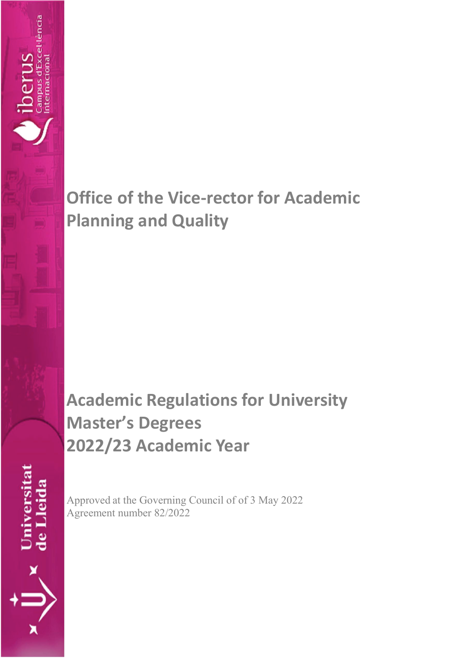# **Office of the Vice-rector for Academic Planning and Quality**

# **Academic Regulations for University Master's Degrees 2022/23 Academic Year**

Universitat<br>de Lleida

I **DOCT DI DI**<br>Campus d'Excel·lència<br>ntemacional

oerus

Approved at the Governing Council of of 3 May 2022 Agreement number 82/2022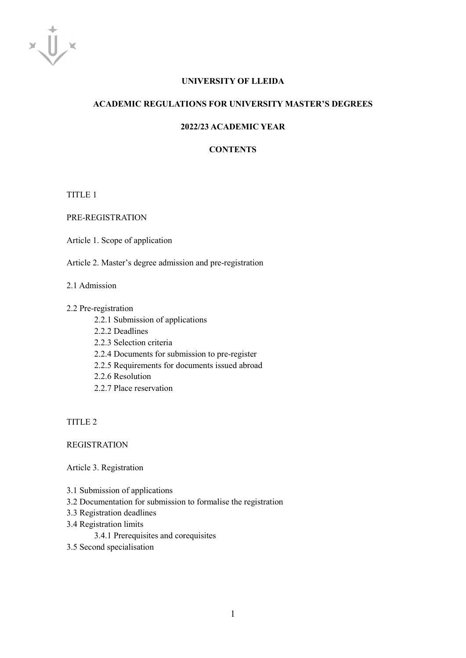

# **UNIVERSITY OF LLEIDA**

#### **ACADEMIC REGULATIONS FOR UNIVERSITY MASTER'S DEGREES**

# **2022/23 ACADEMIC YEAR**

# **CONTENTS**

TITLE 1

PRE-REGISTRATION

Article 1. Scope of application

Article 2. Master's degree admission and pre-registration

#### 2.1 Admission

#### 2.2 Pre-registration

- 2.2.1 Submission of applications
- 2.2.2 Deadlines
- 2.2.3 Selection criteria
- 2.2.4 Documents for submission to pre-register
- 2.2.5 Requirements for documents issued abroad
- 2.2.6 Resolution
- 2.2.7 Place reservation

TITLE 2

# **REGISTRATION**

Article 3. Registration

- 3.1 Submission of applications
- 3.2 Documentation for submission to formalise the registration
- 3.3 Registration deadlines
- 3.4 Registration limits

3.4.1 Prerequisites and corequisites

3.5 Second specialisation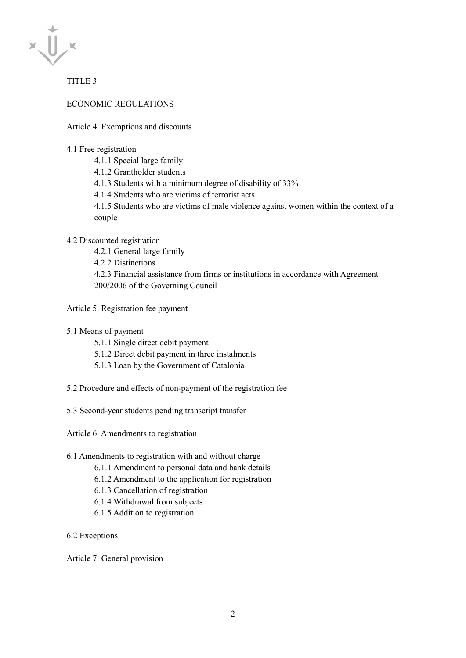

TITLE 3

ECONOMIC REGULATIONS

Article 4. Exemptions and discounts

## 4.1 Free registration

- 4.1.1 Special large family
- 4.1.2 Grantholder students
- 4.1.3 Students with a minimum degree of disability of 33%
- 4.1.4 Students who are victims of terrorist acts

4.1.5 Students who are victims of male violence against women within the context of a couple

# 4.2 Discounted registration

4.2.1 General large family 4.2.2 Distinctions

4.2.3 Financial assistance from firms or institutions in accordance with Agreement 200/2006 of the Governing Council

Article 5. Registration fee payment

- 5.1 Means of payment
	- 5.1.1 Single direct debit payment
	- 5.1.2 Direct debit payment in three instalments
	- 5.1.3 Loan by the Government of Catalonia
- 5.2 Procedure and effects of non-payment of the registration fee
- 5.3 Second-year students pending transcript transfer

Article 6. Amendments to registration

# 6.1 Amendments to registration with and without charge

- 6.1.1 Amendment to personal data and bank details
- 6.1.2 Amendment to the application for registration
- 6.1.3 Cancellation of registration
- 6.1.4 Withdrawal from subjects
- 6.1.5 Addition to registration

6.2 Exceptions

Article 7. General provision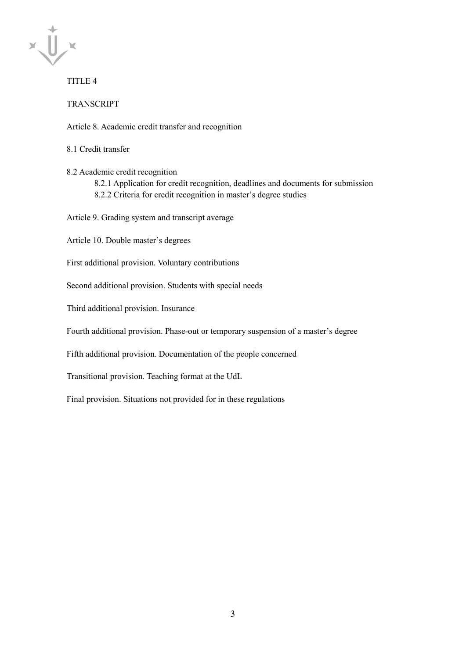

# TITLE 4

TRANSCRIPT

Article 8. Academic credit transfer and recognition

8.1 Credit transfer

8.2 Academic credit recognition

8.2.1 Application for credit recognition, deadlines and documents for submission 8.2.2 Criteria for credit recognition in master's degree studies

Article 9. Grading system and transcript average

Article 10. Double master's degrees

First additional provision. Voluntary contributions

Second additional provision. Students with special needs

Third additional provision. Insurance

Fourth additional provision. Phase-out or temporary suspension of a master's degree

Fifth additional provision. Documentation of the people concerned

Transitional provision. Teaching format at the UdL

Final provision. Situations not provided for in these regulations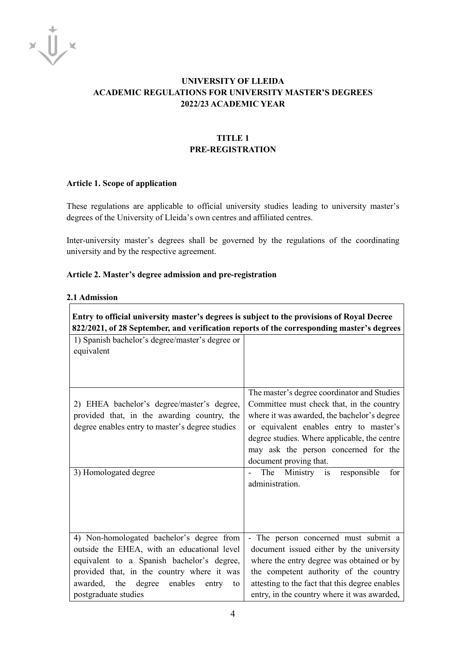

# **UNIVERSITY OF LLEIDA ACADEMIC REGULATIONS FOR UNIVERSITY MASTER'S DEGREES 2022/23 ACADEMIC YEAR**

# **TITLE 1 PRE-REGISTRATION**

#### **Article 1. Scope of application**

These regulations are applicable to official university studies leading to university master's degrees of the University of Lleida's own centres and affiliated centres.

Inter-university master's degrees shall be governed by the regulations of the coordinating university and by the respective agreement.

#### **Article 2. Master's degree admission and pre-registration**

#### **2.1 Admission**

| Entry to official university master's degrees is subject to the provisions of Royal Decree<br>822/2021, of 28 September, and verification reports of the corresponding master's degrees |                                                |  |
|-----------------------------------------------------------------------------------------------------------------------------------------------------------------------------------------|------------------------------------------------|--|
| 1) Spanish bachelor's degree/master's degree or                                                                                                                                         |                                                |  |
| equivalent                                                                                                                                                                              |                                                |  |
|                                                                                                                                                                                         |                                                |  |
|                                                                                                                                                                                         |                                                |  |
|                                                                                                                                                                                         | The master's degree coordinator and Studies    |  |
| 2) EHEA bachelor's degree/master's degree,                                                                                                                                              | Committee must check that, in the country      |  |
| provided that, in the awarding country, the                                                                                                                                             | where it was awarded, the bachelor's degree    |  |
| degree enables entry to master's degree studies                                                                                                                                         | or equivalent enables entry to master's        |  |
|                                                                                                                                                                                         | degree studies. Where applicable, the centre   |  |
|                                                                                                                                                                                         | may ask the person concerned for the           |  |
|                                                                                                                                                                                         | document proving that.                         |  |
| 3) Homologated degree                                                                                                                                                                   | The<br>Ministry is<br>responsible<br>for       |  |
|                                                                                                                                                                                         | administration.                                |  |
|                                                                                                                                                                                         |                                                |  |
|                                                                                                                                                                                         |                                                |  |
|                                                                                                                                                                                         |                                                |  |
| 4) Non-homologated bachelor's degree from                                                                                                                                               | - The person concerned must submit a           |  |
| outside the EHEA, with an educational level                                                                                                                                             | document issued either by the university       |  |
| equivalent to a Spanish bachelor's degree,                                                                                                                                              | where the entry degree was obtained or by      |  |
| provided that, in the country where it was                                                                                                                                              | the competent authority of the country         |  |
| awarded, the<br>enables<br>degree<br>entry<br>to                                                                                                                                        | attesting to the fact that this degree enables |  |
| postgraduate studies                                                                                                                                                                    | entry, in the country where it was awarded,    |  |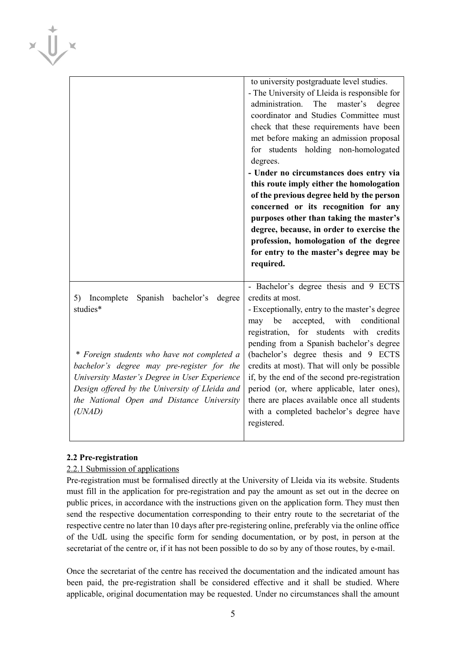|                                                                                                                                                                                                                                                                                                                  | to university postgraduate level studies.<br>- The University of Lleida is responsible for<br>administration.<br>The<br>master's<br>degree<br>coordinator and Studies Committee must<br>check that these requirements have been<br>met before making an admission proposal<br>for students holding non-homologated<br>degrees.<br>- Under no circumstances does entry via<br>this route imply either the homologation<br>of the previous degree held by the person<br>concerned or its recognition for any<br>purposes other than taking the master's<br>degree, because, in order to exercise the<br>profession, homologation of the degree<br>for entry to the master's degree may be<br>required. |
|------------------------------------------------------------------------------------------------------------------------------------------------------------------------------------------------------------------------------------------------------------------------------------------------------------------|------------------------------------------------------------------------------------------------------------------------------------------------------------------------------------------------------------------------------------------------------------------------------------------------------------------------------------------------------------------------------------------------------------------------------------------------------------------------------------------------------------------------------------------------------------------------------------------------------------------------------------------------------------------------------------------------------|
| Spanish bachelor's<br>5) Incomplete<br>degree<br>studies*<br>* Foreign students who have not completed a<br>bachelor's degree may pre-register for the<br>University Master's Degree in User Experience<br>Design offered by the University of Lleida and<br>the National Open and Distance University<br>(UNAD) | - Bachelor's degree thesis and 9 ECTS<br>credits at most.<br>- Exceptionally, entry to the master's degree<br>accepted, with<br>may be<br>conditional<br>registration, for students with credits<br>pending from a Spanish bachelor's degree<br>(bachelor's degree thesis and 9 ECTS<br>credits at most). That will only be possible<br>if, by the end of the second pre-registration<br>period (or, where applicable, later ones),<br>there are places available once all students<br>with a completed bachelor's degree have<br>registered.                                                                                                                                                        |

# **2.2 Pre-registration**

 $\overline{\phantom{a}}$ 

 $x\overline{U}$ 

# 2.2.1 Submission of applications

Pre-registration must be formalised directly at the University of Lleida via its website. Students must fill in the application for pre-registration and pay the amount as set out in the decree on public prices, in accordance with the instructions given on the application form. They must then send the respective documentation corresponding to their entry route to the secretariat of the respective centre no later than 10 days after pre-registering online, preferably via the online office of the UdL using the specific form for sending documentation, or by post, in person at the secretariat of the centre or, if it has not been possible to do so by any of those routes, by e-mail.

Once the secretariat of the centre has received the documentation and the indicated amount has been paid, the pre-registration shall be considered effective and it shall be studied. Where applicable, original documentation may be requested. Under no circumstances shall the amount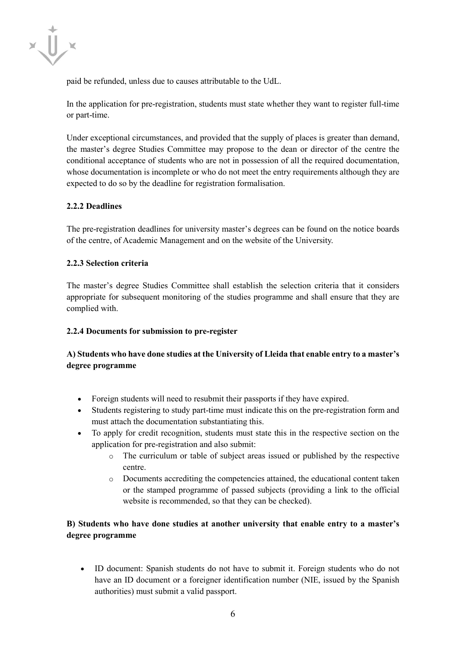

paid be refunded, unless due to causes attributable to the UdL.

In the application for pre-registration, students must state whether they want to register full-time or part-time.

Under exceptional circumstances, and provided that the supply of places is greater than demand, the master's degree Studies Committee may propose to the dean or director of the centre the conditional acceptance of students who are not in possession of all the required documentation, whose documentation is incomplete or who do not meet the entry requirements although they are expected to do so by the deadline for registration formalisation.

# **2.2.2 Deadlines**

The pre-registration deadlines for university master's degrees can be found on the notice boards of the centre, of Academic Management and on the website of the University.

#### **2.2.3 Selection criteria**

The master's degree Studies Committee shall establish the selection criteria that it considers appropriate for subsequent monitoring of the studies programme and shall ensure that they are complied with.

#### **2.2.4 Documents for submission to pre-register**

# **A) Students who have done studies at the University of Lleida that enable entry to a master's degree programme**

- Foreign students will need to resubmit their passports if they have expired.
- Students registering to study part-time must indicate this on the pre-registration form and must attach the documentation substantiating this.
- To apply for credit recognition, students must state this in the respective section on the application for pre-registration and also submit:
	- o The curriculum or table of subject areas issued or published by the respective centre.
	- o Documents accrediting the competencies attained, the educational content taken or the stamped programme of passed subjects (providing a link to the official website is recommended, so that they can be checked).

# **B) Students who have done studies at another university that enable entry to a master's degree programme**

• ID document: Spanish students do not have to submit it. Foreign students who do not have an ID document or a foreigner identification number (NIE, issued by the Spanish authorities) must submit a valid passport.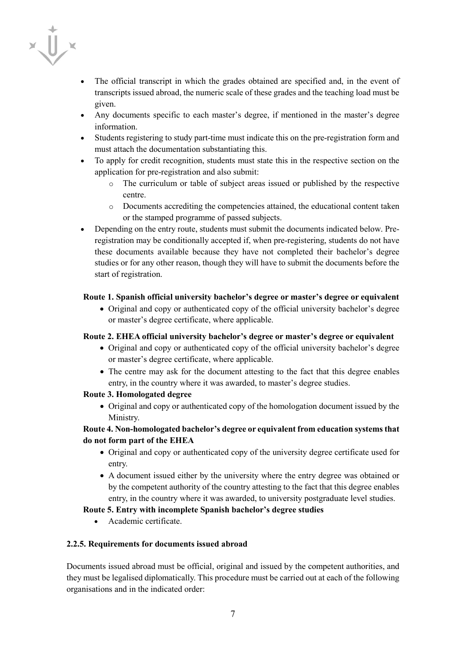

- The official transcript in which the grades obtained are specified and, in the event of transcripts issued abroad, the numeric scale of these grades and the teaching load must be given.
- Any documents specific to each master's degree, if mentioned in the master's degree information.
- Students registering to study part-time must indicate this on the pre-registration form and must attach the documentation substantiating this.
- To apply for credit recognition, students must state this in the respective section on the application for pre-registration and also submit:
	- o The curriculum or table of subject areas issued or published by the respective centre.
	- o Documents accrediting the competencies attained, the educational content taken or the stamped programme of passed subjects.
- Depending on the entry route, students must submit the documents indicated below. Preregistration may be conditionally accepted if, when pre-registering, students do not have these documents available because they have not completed their bachelor's degree studies or for any other reason, though they will have to submit the documents before the start of registration.

# **Route 1. Spanish official university bachelor's degree or master's degree or equivalent**

• Original and copy or authenticated copy of the official university bachelor's degree or master's degree certificate, where applicable.

# **Route 2. EHEA official university bachelor's degree or master's degree or equivalent**

- Original and copy or authenticated copy of the official university bachelor's degree or master's degree certificate, where applicable.
- The centre may ask for the document attesting to the fact that this degree enables entry, in the country where it was awarded, to master's degree studies.

# **Route 3. Homologated degree**

• Original and copy or authenticated copy of the homologation document issued by the Ministry.

# **Route 4. Non-homologated bachelor's degree or equivalent from education systems that do not form part of the EHEA**

- Original and copy or authenticated copy of the university degree certificate used for entry.
- A document issued either by the university where the entry degree was obtained or by the competent authority of the country attesting to the fact that this degree enables entry, in the country where it was awarded, to university postgraduate level studies.

# **Route 5. Entry with incomplete Spanish bachelor's degree studies**

• Academic certificate.

# **2.2.5. Requirements for documents issued abroad**

Documents issued abroad must be official, original and issued by the competent authorities, and they must be legalised diplomatically. This procedure must be carried out at each of the following organisations and in the indicated order: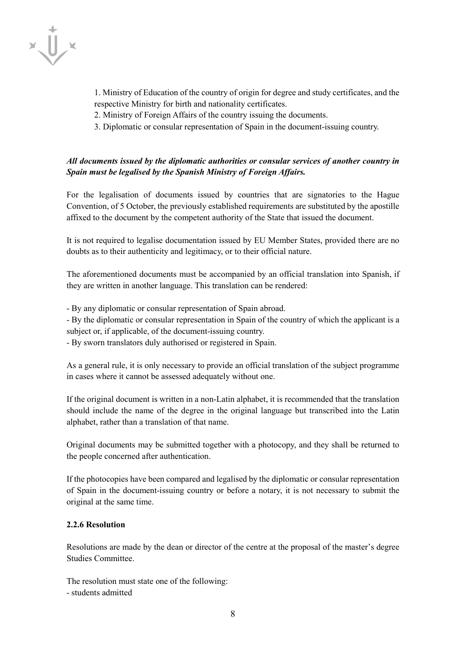

- 1. Ministry of Education of the country of origin for degree and study certificates, and the respective Ministry for birth and nationality certificates.
- 2. Ministry of Foreign Affairs of the country issuing the documents.
- 3. Diplomatic or consular representation of Spain in the document-issuing country.

# *All documents issued by the diplomatic authorities or consular services of another country in Spain must be legalised by the Spanish Ministry of Foreign Affairs.*

For the legalisation of documents issued by countries that are signatories to the Hague Convention, of 5 October, the previously established requirements are substituted by the apostille affixed to the document by the competent authority of the State that issued the document.

It is not required to legalise documentation issued by EU Member States, provided there are no doubts as to their authenticity and legitimacy, or to their official nature.

The aforementioned documents must be accompanied by an official translation into Spanish, if they are written in another language. This translation can be rendered:

- By any diplomatic or consular representation of Spain abroad.

- By the diplomatic or consular representation in Spain of the country of which the applicant is a subject or, if applicable, of the document-issuing country.

- By sworn translators duly authorised or registered in Spain.

As a general rule, it is only necessary to provide an official translation of the subject programme in cases where it cannot be assessed adequately without one.

If the original document is written in a non-Latin alphabet, it is recommended that the translation should include the name of the degree in the original language but transcribed into the Latin alphabet, rather than a translation of that name.

Original documents may be submitted together with a photocopy, and they shall be returned to the people concerned after authentication.

If the photocopies have been compared and legalised by the diplomatic or consular representation of Spain in the document-issuing country or before a notary, it is not necessary to submit the original at the same time.

#### **2.2.6 Resolution**

Resolutions are made by the dean or director of the centre at the proposal of the master's degree Studies Committee.

The resolution must state one of the following:

- students admitted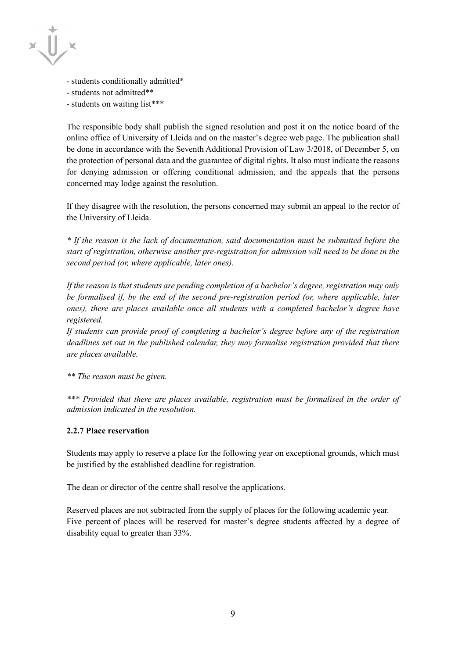

- students conditionally admitted\*
- students not admitted\*\*
- students on waiting list\*\*\*

The responsible body shall publish the signed resolution and post it on the notice board of the online office of University of Lleida and on the master's degree web page. The publication shall be done in accordance with the Seventh Additional Provision of Law 3/2018, of December 5, on the protection of personal data and the guarantee of digital rights. It also must indicate the reasons for denying admission or offering conditional admission, and the appeals that the persons concerned may lodge against the resolution.

If they disagree with the resolution, the persons concerned may submit an appeal to the rector of the University of Lleida.

*\* If the reason is the lack of documentation, said documentation must be submitted before the start of registration, otherwise another pre-registration for admission will need to be done in the second period (or, where applicable, later ones).*

*If the reason is that students are pending completion of a bachelor's degree, registration may only be formalised if, by the end of the second pre-registration period (or, where applicable, later ones), there are places available once all students with a completed bachelor's degree have registered.* 

*If students can provide proof of completing a bachelor's degree before any of the registration deadlines set out in the published calendar, they may formalise registration provided that there are places available.*

*\*\* The reason must be given.*

*\*\*\* Provided that there are places available, registration must be formalised in the order of admission indicated in the resolution.*

#### **2.2.7 Place reservation**

Students may apply to reserve a place for the following year on exceptional grounds, which must be justified by the established deadline for registration.

The dean or director of the centre shall resolve the applications.

Reserved places are not subtracted from the supply of places for the following academic year. Five percent of places will be reserved for master's degree students affected by a degree of disability equal to greater than 33%.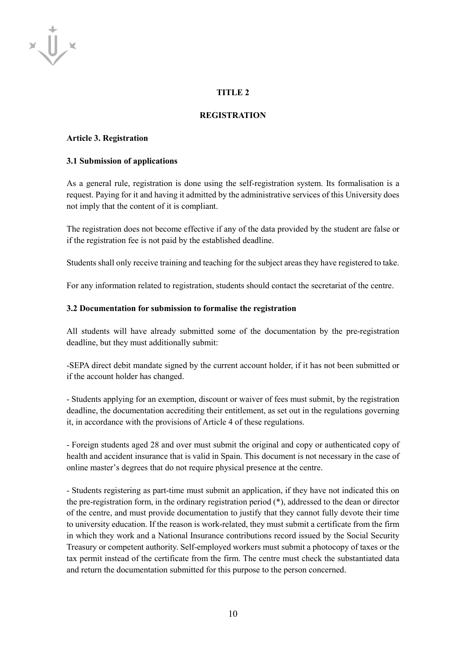# **TITLE 2**

#### **REGISTRATION**

#### **Article 3. Registration**

 $x \bigcup x$ 

#### **3.1 Submission of applications**

As a general rule, registration is done using the self-registration system. Its formalisation is a request. Paying for it and having it admitted by the administrative services of this University does not imply that the content of it is compliant.

The registration does not become effective if any of the data provided by the student are false or if the registration fee is not paid by the established deadline.

Students shall only receive training and teaching for the subject areas they have registered to take.

For any information related to registration, students should contact the secretariat of the centre.

#### **3.2 Documentation for submission to formalise the registration**

All students will have already submitted some of the documentation by the pre-registration deadline, but they must additionally submit:

-SEPA direct debit mandate signed by the current account holder, if it has not been submitted or if the account holder has changed.

- Students applying for an exemption, discount or waiver of fees must submit, by the registration deadline, the documentation accrediting their entitlement, as set out in the regulations governing it, in accordance with the provisions of Article 4 of these regulations.

- Foreign students aged 28 and over must submit the original and copy or authenticated copy of health and accident insurance that is valid in Spain. This document is not necessary in the case of online master's degrees that do not require physical presence at the centre.

- Students registering as part-time must submit an application, if they have not indicated this on the pre-registration form, in the ordinary registration period (\*), addressed to the dean or director of the centre, and must provide documentation to justify that they cannot fully devote their time to university education. If the reason is work-related, they must submit a certificate from the firm in which they work and a National Insurance contributions record issued by the Social Security Treasury or competent authority. Self-employed workers must submit a photocopy of taxes or the tax permit instead of the certificate from the firm. The centre must check the substantiated data and return the documentation submitted for this purpose to the person concerned.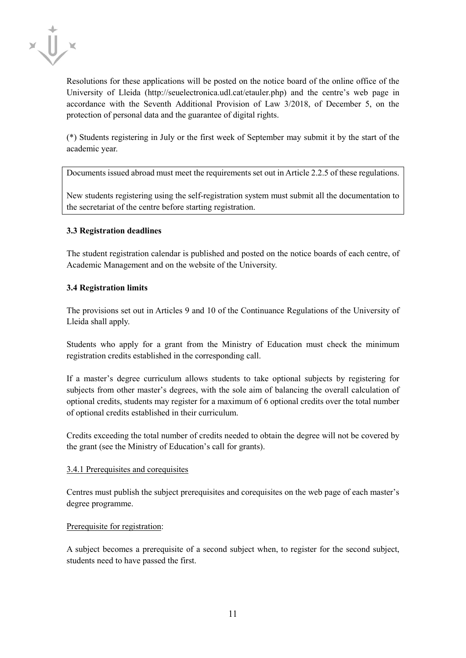

Resolutions for these applications will be posted on the notice board of the online office of the University of Lleida (http://seuelectronica.udl.cat/etauler.php) and the centre's web page in accordance with the Seventh Additional Provision of Law 3/2018, of December 5, on the protection of personal data and the guarantee of digital rights.

(\*) Students registering in July or the first week of September may submit it by the start of the academic year.

Documents issued abroad must meet the requirements set out in Article 2.2.5 of these regulations.

New students registering using the self-registration system must submit all the documentation to the secretariat of the centre before starting registration.

# **3.3 Registration deadlines**

The student registration calendar is published and posted on the notice boards of each centre, of Academic Management and on the website of the University.

#### **3.4 Registration limits**

The provisions set out in Articles 9 and 10 of the Continuance Regulations of the University of Lleida shall apply.

Students who apply for a grant from the Ministry of Education must check the minimum registration credits established in the corresponding call.

If a master's degree curriculum allows students to take optional subjects by registering for subjects from other master's degrees, with the sole aim of balancing the overall calculation of optional credits, students may register for a maximum of 6 optional credits over the total number of optional credits established in their curriculum.

Credits exceeding the total number of credits needed to obtain the degree will not be covered by the grant (see the Ministry of Education's call for grants).

#### 3.4.1 Prerequisites and corequisites

Centres must publish the subject prerequisites and corequisites on the web page of each master's degree programme.

#### Prerequisite for registration:

A subject becomes a prerequisite of a second subject when, to register for the second subject, students need to have passed the first.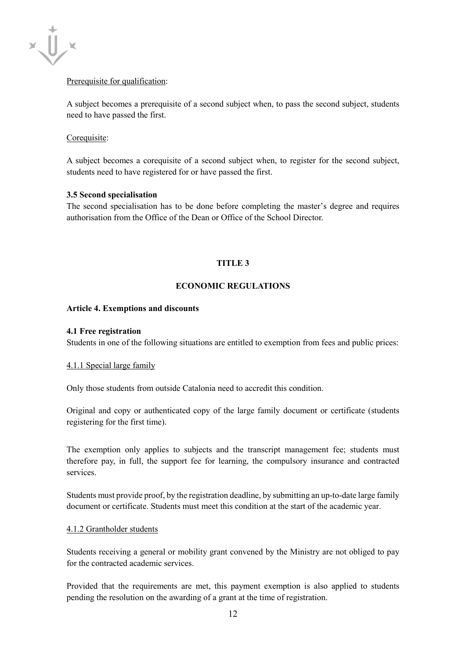

# Prerequisite for qualification:

A subject becomes a prerequisite of a second subject when, to pass the second subject, students need to have passed the first.

## Corequisite:

A subject becomes a corequisite of a second subject when, to register for the second subject, students need to have registered for or have passed the first.

#### **3.5 Second specialisation**

The second specialisation has to be done before completing the master's degree and requires authorisation from the Office of the Dean or Office of the School Director.

# **TITLE 3**

# **ECONOMIC REGULATIONS**

#### **Article 4. Exemptions and discounts**

#### **4.1 Free registration**

Students in one of the following situations are entitled to exemption from fees and public prices:

#### 4.1.1 Special large family

Only those students from outside Catalonia need to accredit this condition.

Original and copy or authenticated copy of the large family document or certificate (students registering for the first time).

The exemption only applies to subjects and the transcript management fee; students must therefore pay, in full, the support fee for learning, the compulsory insurance and contracted services.

Students must provide proof, by the registration deadline, by submitting an up-to-date large family document or certificate. Students must meet this condition at the start of the academic year.

#### 4.1.2 Grantholder students

Students receiving a general or mobility grant convened by the Ministry are not obliged to pay for the contracted academic services.

Provided that the requirements are met, this payment exemption is also applied to students pending the resolution on the awarding of a grant at the time of registration.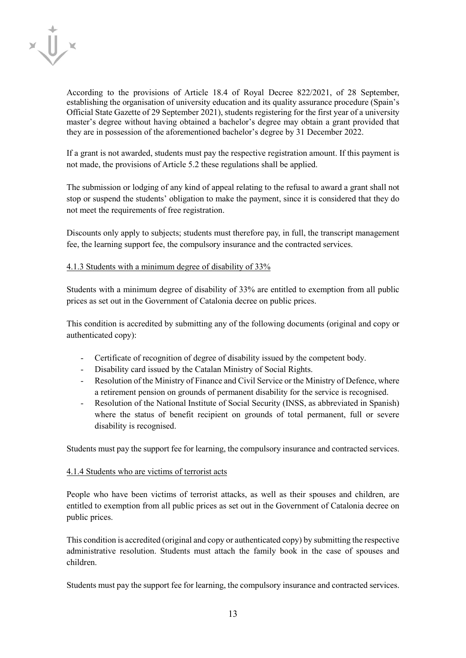

According to the provisions of Article 18.4 of Royal Decree 822/2021, of 28 September, establishing the organisation of university education and its quality assurance procedure (Spain's Official State Gazette of 29 September 2021), students registering for the first year of a university master's degree without having obtained a bachelor's degree may obtain a grant provided that they are in possession of the aforementioned bachelor's degree by 31 December 2022.

If a grant is not awarded, students must pay the respective registration amount. If this payment is not made, the provisions of Article 5.2 these regulations shall be applied.

The submission or lodging of any kind of appeal relating to the refusal to award a grant shall not stop or suspend the students' obligation to make the payment, since it is considered that they do not meet the requirements of free registration.

Discounts only apply to subjects; students must therefore pay, in full, the transcript management fee, the learning support fee, the compulsory insurance and the contracted services.

#### 4.1.3 Students with a minimum degree of disability of 33%

Students with a minimum degree of disability of 33% are entitled to exemption from all public prices as set out in the Government of Catalonia decree on public prices.

This condition is accredited by submitting any of the following documents (original and copy or authenticated copy):

- Certificate of recognition of degree of disability issued by the competent body.
- Disability card issued by the Catalan Ministry of Social Rights.
- Resolution of the Ministry of Finance and Civil Service or the Ministry of Defence, where a retirement pension on grounds of permanent disability for the service is recognised.
- Resolution of the National Institute of Social Security (INSS, as abbreviated in Spanish) where the status of benefit recipient on grounds of total permanent, full or severe disability is recognised.

Students must pay the support fee for learning, the compulsory insurance and contracted services.

# 4.1.4 Students who are victims of terrorist acts

People who have been victims of terrorist attacks, as well as their spouses and children, are entitled to exemption from all public prices as set out in the Government of Catalonia decree on public prices.

This condition is accredited (original and copy or authenticated copy) by submitting the respective administrative resolution. Students must attach the family book in the case of spouses and children.

Students must pay the support fee for learning, the compulsory insurance and contracted services.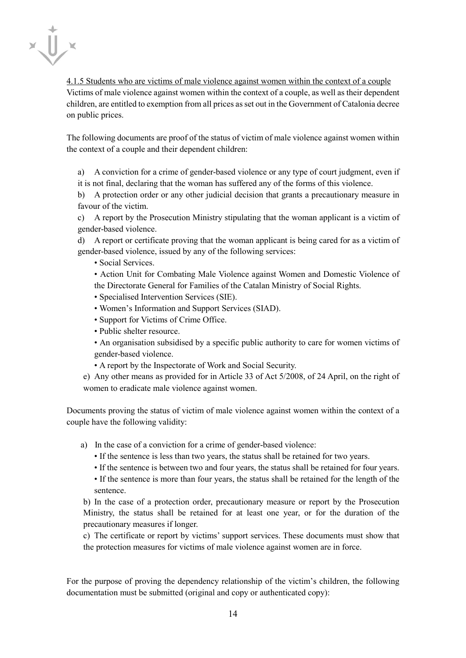

4.1.5 Students who are victims of male violence against women within the context of a couple Victims of male violence against women within the context of a couple, as well as their dependent children, are entitled to exemption from all prices as set out in the Government of Catalonia decree on public prices.

The following documents are proof of the status of victim of male violence against women within the context of a couple and their dependent children:

a) A conviction for a crime of gender-based violence or any type of court judgment, even if it is not final, declaring that the woman has suffered any of the forms of this violence.

b) A protection order or any other judicial decision that grants a precautionary measure in favour of the victim.

c) A report by the Prosecution Ministry stipulating that the woman applicant is a victim of gender-based violence.

d) A report or certificate proving that the woman applicant is being cared for as a victim of gender-based violence, issued by any of the following services:

• Social Services.

• Action Unit for Combating Male Violence against Women and Domestic Violence of the Directorate General for Families of the Catalan Ministry of Social Rights.

- Specialised Intervention Services (SIE).
- Women's Information and Support Services (SIAD).
- Support for Victims of Crime Office.
- Public shelter resource.

• An organisation subsidised by a specific public authority to care for women victims of gender-based violence.

- A report by the Inspectorate of Work and Social Security.
- e) Any other means as provided for in Article 33 of Act 5/2008, of 24 April, on the right of women to eradicate male violence against women.

Documents proving the status of victim of male violence against women within the context of a couple have the following validity:

- a) In the case of a conviction for a crime of gender-based violence:
	- If the sentence is less than two years, the status shall be retained for two years.
	- If the sentence is between two and four years, the status shall be retained for four years.
	- If the sentence is more than four years, the status shall be retained for the length of the sentence.

b) In the case of a protection order, precautionary measure or report by the Prosecution Ministry, the status shall be retained for at least one year, or for the duration of the precautionary measures if longer.

c) The certificate or report by victims' support services. These documents must show that the protection measures for victims of male violence against women are in force.

For the purpose of proving the dependency relationship of the victim's children, the following documentation must be submitted (original and copy or authenticated copy):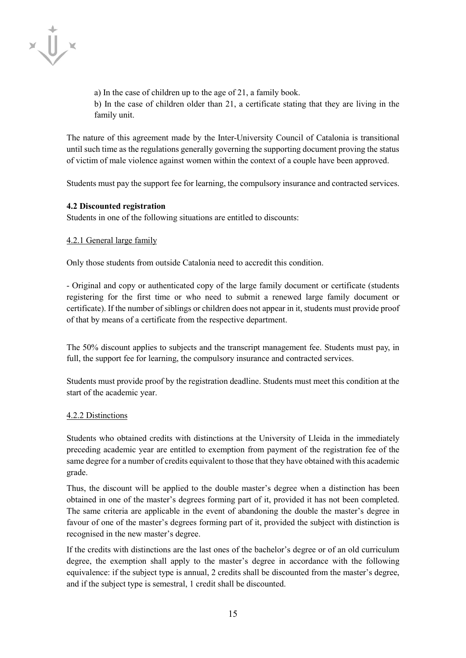

a) In the case of children up to the age of 21, a family book. b) In the case of children older than 21, a certificate stating that they are living in the family unit.

The nature of this agreement made by the Inter-University Council of Catalonia is transitional until such time as the regulations generally governing the supporting document proving the status of victim of male violence against women within the context of a couple have been approved.

Students must pay the support fee for learning, the compulsory insurance and contracted services.

#### **4.2 Discounted registration**

Students in one of the following situations are entitled to discounts:

#### 4.2.1 General large family

Only those students from outside Catalonia need to accredit this condition.

- Original and copy or authenticated copy of the large family document or certificate (students registering for the first time or who need to submit a renewed large family document or certificate). If the number of siblings or children does not appear in it, students must provide proof of that by means of a certificate from the respective department.

The 50% discount applies to subjects and the transcript management fee. Students must pay, in full, the support fee for learning, the compulsory insurance and contracted services.

Students must provide proof by the registration deadline. Students must meet this condition at the start of the academic year.

#### 4.2.2 Distinctions

Students who obtained credits with distinctions at the University of Lleida in the immediately preceding academic year are entitled to exemption from payment of the registration fee of the same degree for a number of credits equivalent to those that they have obtained with this academic grade.

Thus, the discount will be applied to the double master's degree when a distinction has been obtained in one of the master's degrees forming part of it, provided it has not been completed. The same criteria are applicable in the event of abandoning the double the master's degree in favour of one of the master's degrees forming part of it, provided the subject with distinction is recognised in the new master's degree.

If the credits with distinctions are the last ones of the bachelor's degree or of an old curriculum degree, the exemption shall apply to the master's degree in accordance with the following equivalence: if the subject type is annual, 2 credits shall be discounted from the master's degree, and if the subject type is semestral, 1 credit shall be discounted.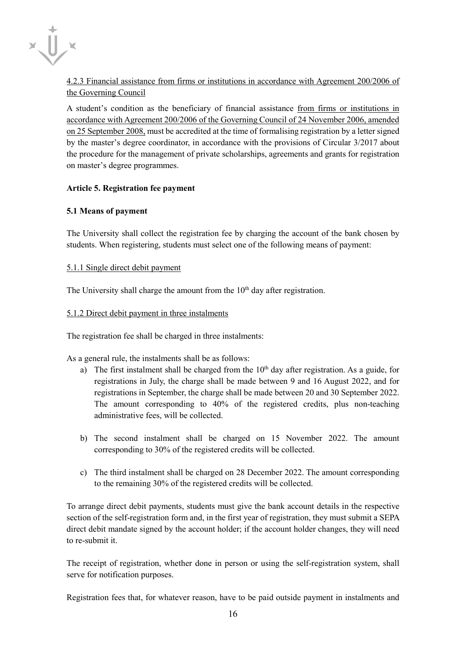

# 4.2.3 Financial assistance from firms or institutions in accordance with Agreement 200/2006 of the Governing Council

A student's condition as the beneficiary of financial assistance from firms or institutions in accordance with Agreement 200/2006 of the Governing Council of 24 November 2006, amended on 25 September 2008, must be accredited at the time of formalising registration by a letter signed by the master's degree coordinator, in accordance with the provisions of Circular 3/2017 about the procedure for the management of private scholarships, agreements and grants for registration on master's degree programmes.

# **Article 5. Registration fee payment**

# **5.1 Means of payment**

The University shall collect the registration fee by charging the account of the bank chosen by students. When registering, students must select one of the following means of payment:

# 5.1.1 Single direct debit payment

The University shall charge the amount from the  $10<sup>th</sup>$  day after registration.

# 5.1.2 Direct debit payment in three instalments

The registration fee shall be charged in three instalments:

As a general rule, the instalments shall be as follows:

- a) The first instalment shall be charged from the  $10<sup>th</sup>$  day after registration. As a guide, for registrations in July, the charge shall be made between 9 and 16 August 2022, and for registrations in September, the charge shall be made between 20 and 30 September 2022. The amount corresponding to 40% of the registered credits, plus non-teaching administrative fees, will be collected.
- b) The second instalment shall be charged on 15 November 2022. The amount corresponding to 30% of the registered credits will be collected.
- c) The third instalment shall be charged on 28 December 2022. The amount corresponding to the remaining 30% of the registered credits will be collected.

To arrange direct debit payments, students must give the bank account details in the respective section of the self-registration form and, in the first year of registration, they must submit a SEPA direct debit mandate signed by the account holder; if the account holder changes, they will need to re-submit it.

The receipt of registration, whether done in person or using the self-registration system, shall serve for notification purposes.

Registration fees that, for whatever reason, have to be paid outside payment in instalments and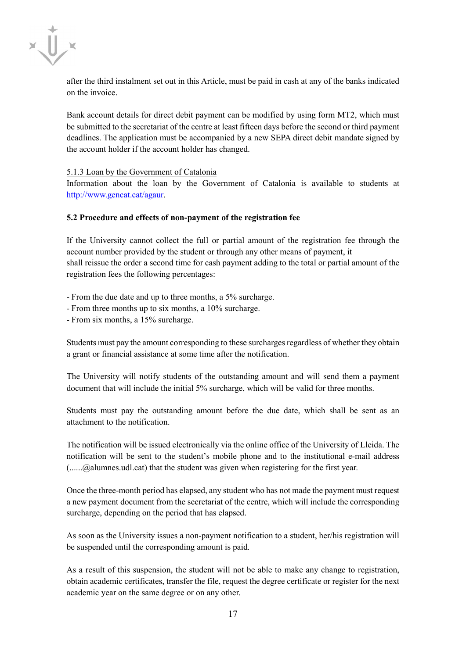

after the third instalment set out in this Article, must be paid in cash at any of the banks indicated on the invoice.

Bank account details for direct debit payment can be modified by using form MT2, which must be submitted to the secretariat of the centre at least fifteen days before the second or third payment deadlines. The application must be accompanied by a new SEPA direct debit mandate signed by the account holder if the account holder has changed.

#### 5.1.3 Loan by the Government of Catalonia

Information about the loan by the Government of Catalonia is available to students at [http://www.gencat.cat/agaur.](http://www.gencat.cat/agaur)

#### **5.2 Procedure and effects of non-payment of the registration fee**

If the University cannot collect the full or partial amount of the registration fee through the account number provided by the student or through any other means of payment, it shall reissue the order a second time for cash payment adding to the total or partial amount of the registration fees the following percentages:

- From the due date and up to three months, a 5% surcharge.

- From three months up to six months, a 10% surcharge.
- From six months, a 15% surcharge.

Students must pay the amount corresponding to these surcharges regardless of whether they obtain a grant or financial assistance at some time after the notification.

The University will notify students of the outstanding amount and will send them a payment document that will include the initial 5% surcharge, which will be valid for three months.

Students must pay the outstanding amount before the due date, which shall be sent as an attachment to the notification.

The notification will be issued electronically via the online office of the University of Lleida. The notification will be sent to the student's mobile phone and to the institutional e-mail address (......@alumnes.udl.cat) that the student was given when registering for the first year.

Once the three-month period has elapsed, any student who has not made the payment must request a new payment document from the secretariat of the centre, which will include the corresponding surcharge, depending on the period that has elapsed.

As soon as the University issues a non-payment notification to a student, her/his registration will be suspended until the corresponding amount is paid.

As a result of this suspension, the student will not be able to make any change to registration, obtain academic certificates, transfer the file, request the degree certificate or register for the next academic year on the same degree or on any other.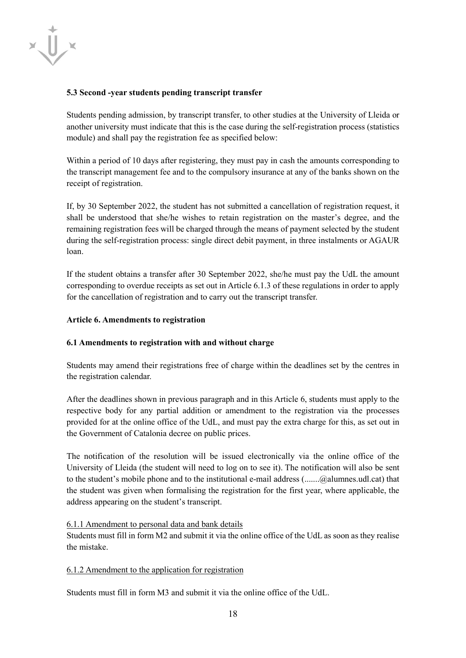

#### **5.3 Second -year students pending transcript transfer**

Students pending admission, by transcript transfer, to other studies at the University of Lleida or another university must indicate that this is the case during the self-registration process (statistics module) and shall pay the registration fee as specified below:

Within a period of 10 days after registering, they must pay in cash the amounts corresponding to the transcript management fee and to the compulsory insurance at any of the banks shown on the receipt of registration.

If, by 30 September 2022, the student has not submitted a cancellation of registration request, it shall be understood that she/he wishes to retain registration on the master's degree, and the remaining registration fees will be charged through the means of payment selected by the student during the self-registration process: single direct debit payment, in three instalments or AGAUR loan.

If the student obtains a transfer after 30 September 2022, she/he must pay the UdL the amount corresponding to overdue receipts as set out in Article 6.1.3 of these regulations in order to apply for the cancellation of registration and to carry out the transcript transfer.

#### **Article 6. Amendments to registration**

#### **6.1 Amendments to registration with and without charge**

Students may amend their registrations free of charge within the deadlines set by the centres in the registration calendar.

After the deadlines shown in previous paragraph and in this Article 6, students must apply to the respective body for any partial addition or amendment to the registration via the processes provided for at the online office of the UdL, and must pay the extra charge for this, as set out in the Government of Catalonia decree on public prices.

The notification of the resolution will be issued electronically via the online office of the University of Lleida (the student will need to log on to see it). The notification will also be sent to the student's mobile phone and to the institutional e-mail address (.......@alumnes.udl.cat) that the student was given when formalising the registration for the first year, where applicable, the address appearing on the student's transcript.

#### 6.1.1 Amendment to personal data and bank details

Students must fill in form M2 and submit it via the online office of the UdL as soon as they realise the mistake.

#### 6.1.2 Amendment to the application for registration

Students must fill in form M3 and submit it via the online office of the UdL.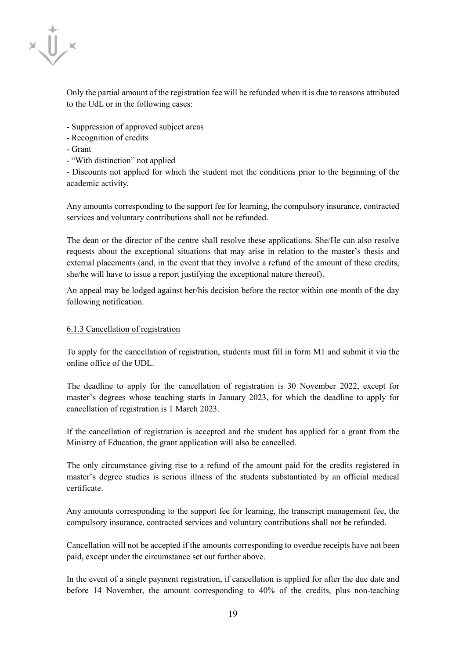

Only the partial amount of the registration fee will be refunded when it is due to reasons attributed to the UdL or in the following cases:

- Suppression of approved subject areas
- Recognition of credits
- Grant
- "With distinction" not applied

- Discounts not applied for which the student met the conditions prior to the beginning of the academic activity.

Any amounts corresponding to the support fee for learning, the compulsory insurance, contracted services and voluntary contributions shall not be refunded.

The dean or the director of the centre shall resolve these applications. She/He can also resolve requests about the exceptional situations that may arise in relation to the master's thesis and external placements (and, in the event that they involve a refund of the amount of these credits, she/he will have to issue a report justifying the exceptional nature thereof).

An appeal may be lodged against her/his decision before the rector within one month of the day following notification.

#### 6.1.3 Cancellation of registration

To apply for the cancellation of registration, students must fill in form M1 and submit it via the online office of the UDL.

The deadline to apply for the cancellation of registration is 30 November 2022, except for master's degrees whose teaching starts in January 2023, for which the deadline to apply for cancellation of registration is 1 March 2023.

If the cancellation of registration is accepted and the student has applied for a grant from the Ministry of Education, the grant application will also be cancelled.

The only circumstance giving rise to a refund of the amount paid for the credits registered in master's degree studies is serious illness of the students substantiated by an official medical certificate.

Any amounts corresponding to the support fee for learning, the transcript management fee, the compulsory insurance, contracted services and voluntary contributions shall not be refunded.

Cancellation will not be accepted if the amounts corresponding to overdue receipts have not been paid, except under the circumstance set out further above.

In the event of a single payment registration, if cancellation is applied for after the due date and before 14 November, the amount corresponding to 40% of the credits, plus non-teaching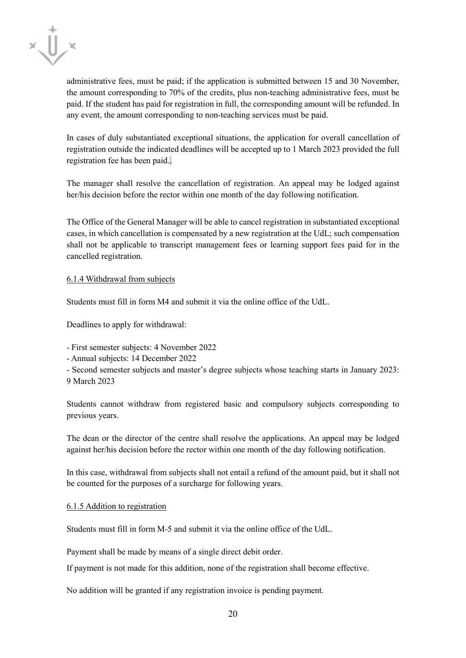

administrative fees, must be paid; if the application is submitted between 15 and 30 November, the amount corresponding to 70% of the credits, plus non-teaching administrative fees, must be paid. If the student has paid for registration in full, the corresponding amount will be refunded. In any event, the amount corresponding to non-teaching services must be paid.

In cases of duly substantiated exceptional situations, the application for overall cancellation of registration outside the indicated deadlines will be accepted up to 1 March 2023 provided the full registration fee has been paid..

The manager shall resolve the cancellation of registration. An appeal may be lodged against her/his decision before the rector within one month of the day following notification.

The Office of the General Manager will be able to cancel registration in substantiated exceptional cases, in which cancellation is compensated by a new registration at the UdL; such compensation shall not be applicable to transcript management fees or learning support fees paid for in the cancelled registration.

6.1.4 Withdrawal from subjects

Students must fill in form M4 and submit it via the online office of the UdL.

Deadlines to apply for withdrawal:

- First semester subjects: 4 November 2022
- Annual subjects: 14 December 2022
- Second semester subjects and master's degree subjects whose teaching starts in January 2023:
- 9 March 2023

Students cannot withdraw from registered basic and compulsory subjects corresponding to previous years.

The dean or the director of the centre shall resolve the applications. An appeal may be lodged against her/his decision before the rector within one month of the day following notification.

In this case, withdrawal from subjects shall not entail a refund of the amount paid, but it shall not be counted for the purposes of a surcharge for following years.

#### 6.1.5 Addition to registration

Students must fill in form M-5 and submit it via the online office of the UdL.

Payment shall be made by means of a single direct debit order.

If payment is not made for this addition, none of the registration shall become effective.

No addition will be granted if any registration invoice is pending payment.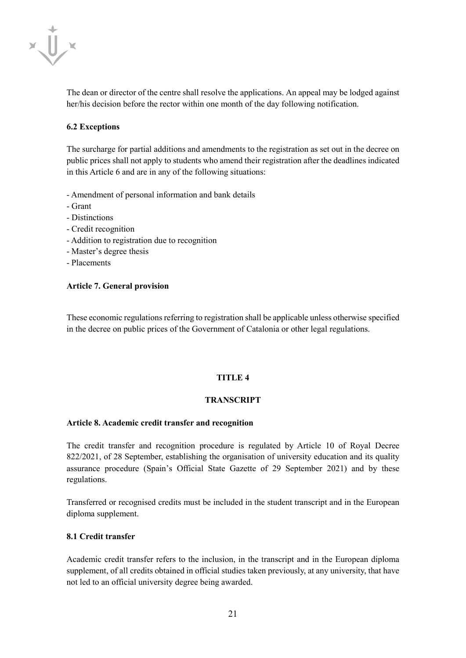

The dean or director of the centre shall resolve the applications. An appeal may be lodged against her/his decision before the rector within one month of the day following notification.

## **6.2 Exceptions**

The surcharge for partial additions and amendments to the registration as set out in the decree on public prices shall not apply to students who amend their registration after the deadlines indicated in this Article 6 and are in any of the following situations:

- Amendment of personal information and bank details
- Grant
- Distinctions
- Credit recognition
- Addition to registration due to recognition
- Master's degree thesis
- Placements

#### **Article 7. General provision**

These economic regulations referring to registration shall be applicable unless otherwise specified in the decree on public prices of the Government of Catalonia or other legal regulations.

#### **TITLE 4**

#### **TRANSCRIPT**

#### **Article 8. Academic credit transfer and recognition**

The credit transfer and recognition procedure is regulated by Article 10 of Royal Decree 822/2021, of 28 September, establishing the organisation of university education and its quality assurance procedure (Spain's Official State Gazette of 29 September 2021) and by these regulations.

Transferred or recognised credits must be included in the student transcript and in the European diploma supplement.

#### **8.1 Credit transfer**

Academic credit transfer refers to the inclusion, in the transcript and in the European diploma supplement, of all credits obtained in official studies taken previously, at any university, that have not led to an official university degree being awarded.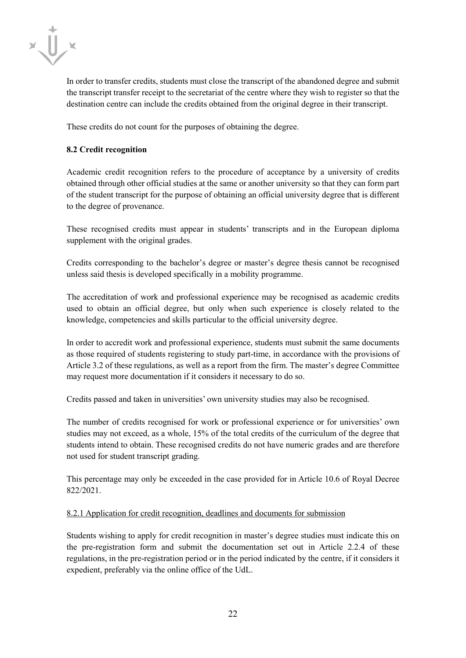

In order to transfer credits, students must close the transcript of the abandoned degree and submit the transcript transfer receipt to the secretariat of the centre where they wish to register so that the destination centre can include the credits obtained from the original degree in their transcript.

These credits do not count for the purposes of obtaining the degree.

## **8.2 Credit recognition**

Academic credit recognition refers to the procedure of acceptance by a university of credits obtained through other official studies at the same or another university so that they can form part of the student transcript for the purpose of obtaining an official university degree that is different to the degree of provenance.

These recognised credits must appear in students' transcripts and in the European diploma supplement with the original grades.

Credits corresponding to the bachelor's degree or master's degree thesis cannot be recognised unless said thesis is developed specifically in a mobility programme.

The accreditation of work and professional experience may be recognised as academic credits used to obtain an official degree, but only when such experience is closely related to the knowledge, competencies and skills particular to the official university degree.

In order to accredit work and professional experience, students must submit the same documents as those required of students registering to study part-time, in accordance with the provisions of Article 3.2 of these regulations, as well as a report from the firm. The master's degree Committee may request more documentation if it considers it necessary to do so.

Credits passed and taken in universities' own university studies may also be recognised.

The number of credits recognised for work or professional experience or for universities' own studies may not exceed, as a whole, 15% of the total credits of the curriculum of the degree that students intend to obtain. These recognised credits do not have numeric grades and are therefore not used for student transcript grading.

This percentage may only be exceeded in the case provided for in Article 10.6 of Royal Decree 822/2021.

#### 8.2.1 Application for credit recognition, deadlines and documents for submission

Students wishing to apply for credit recognition in master's degree studies must indicate this on the pre-registration form and submit the documentation set out in Article 2.2.4 of these regulations, in the pre-registration period or in the period indicated by the centre, if it considers it expedient, preferably via the online office of the UdL.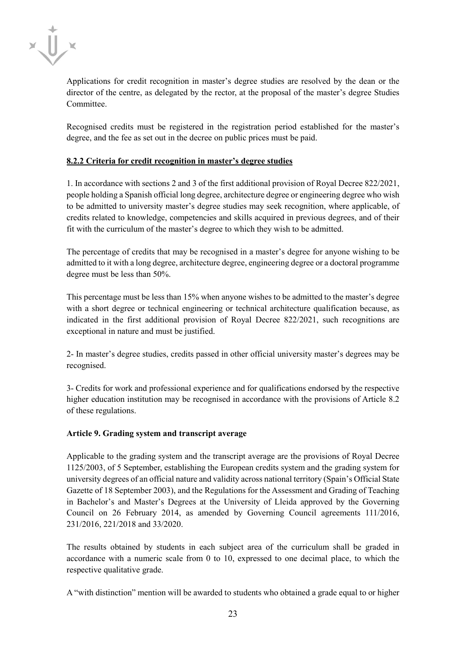

Applications for credit recognition in master's degree studies are resolved by the dean or the director of the centre, as delegated by the rector, at the proposal of the master's degree Studies Committee.

Recognised credits must be registered in the registration period established for the master's degree, and the fee as set out in the decree on public prices must be paid.

# **8.2.2 Criteria for credit recognition in master's degree studies**

1. In accordance with sections 2 and 3 of the first additional provision of Royal Decree 822/2021, people holding a Spanish official long degree, architecture degree or engineering degree who wish to be admitted to university master's degree studies may seek recognition, where applicable, of credits related to knowledge, competencies and skills acquired in previous degrees, and of their fit with the curriculum of the master's degree to which they wish to be admitted.

The percentage of credits that may be recognised in a master's degree for anyone wishing to be admitted to it with a long degree, architecture degree, engineering degree or a doctoral programme degree must be less than 50%.

This percentage must be less than 15% when anyone wishes to be admitted to the master's degree with a short degree or technical engineering or technical architecture qualification because, as indicated in the first additional provision of Royal Decree 822/2021, such recognitions are exceptional in nature and must be justified.

2- In master's degree studies, credits passed in other official university master's degrees may be recognised.

3- Credits for work and professional experience and for qualifications endorsed by the respective higher education institution may be recognised in accordance with the provisions of Article 8.2 of these regulations.

# **Article 9. Grading system and transcript average**

Applicable to the grading system and the transcript average are the provisions of Royal Decree 1125/2003, of 5 September, establishing the European credits system and the grading system for university degrees of an official nature and validity across national territory (Spain's Official State Gazette of 18 September 2003), and the Regulations for the Assessment and Grading of Teaching in Bachelor's and Master's Degrees at the University of Lleida approved by the Governing Council on 26 February 2014, as amended by Governing Council agreements 111/2016, 231/2016, 221/2018 and 33/2020.

The results obtained by students in each subject area of the curriculum shall be graded in accordance with a numeric scale from 0 to 10, expressed to one decimal place, to which the respective qualitative grade.

A "with distinction" mention will be awarded to students who obtained a grade equal to or higher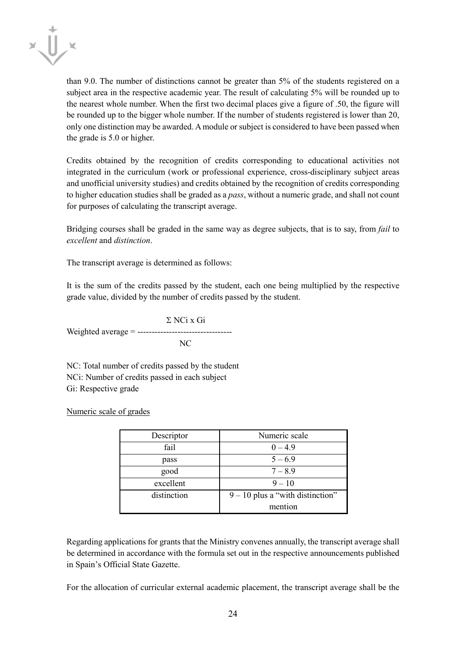

than 9.0. The number of distinctions cannot be greater than 5% of the students registered on a subject area in the respective academic year. The result of calculating 5% will be rounded up to the nearest whole number. When the first two decimal places give a figure of .50, the figure will be rounded up to the bigger whole number. If the number of students registered is lower than 20, only one distinction may be awarded. A module or subject is considered to have been passed when the grade is 5.0 or higher.

Credits obtained by the recognition of credits corresponding to educational activities not integrated in the curriculum (work or professional experience, cross-disciplinary subject areas and unofficial university studies) and credits obtained by the recognition of credits corresponding to higher education studies shall be graded as a *pass*, without a numeric grade, and shall not count for purposes of calculating the transcript average.

Bridging courses shall be graded in the same way as degree subjects, that is to say, from *fail* to *excellent* and *distinction*.

The transcript average is determined as follows:

It is the sum of the credits passed by the student, each one being multiplied by the respective grade value, divided by the number of credits passed by the student.

Σ NCi x Gi Weighted average = --------------------------------- NC

NC: Total number of credits passed by the student NCi: Number of credits passed in each subject Gi: Respective grade

Numeric scale of grades

| Descriptor  | Numeric scale                      |
|-------------|------------------------------------|
| fail        | $0 - 4.9$                          |
| pass        | $5 - 6.9$                          |
| good        | $7 - 8.9$                          |
| excellent   | $9 - 10$                           |
| distinction | $9 - 10$ plus a "with distinction" |
|             | mention                            |

Regarding applications for grants that the Ministry convenes annually, the transcript average shall be determined in accordance with the formula set out in the respective announcements published in Spain's Official State Gazette.

For the allocation of curricular external academic placement, the transcript average shall be the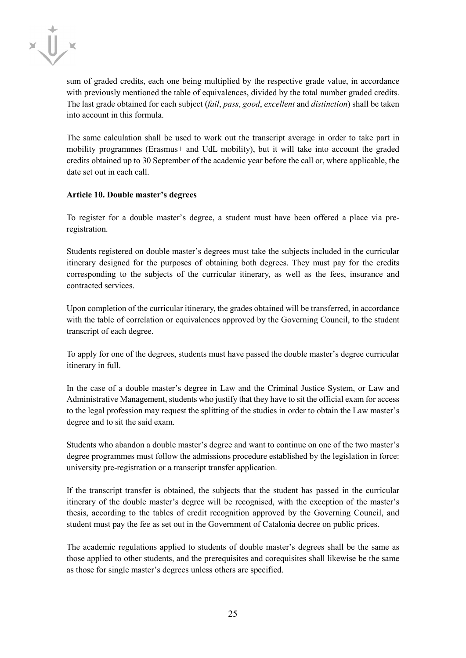

sum of graded credits, each one being multiplied by the respective grade value, in accordance with previously mentioned the table of equivalences, divided by the total number graded credits. The last grade obtained for each subject (*fail*, *pass*, *good*, *excellent* and *distinction*) shall be taken into account in this formula.

The same calculation shall be used to work out the transcript average in order to take part in mobility programmes (Erasmus+ and UdL mobility), but it will take into account the graded credits obtained up to 30 September of the academic year before the call or, where applicable, the date set out in each call.

#### **Article 10. Double master's degrees**

To register for a double master's degree, a student must have been offered a place via preregistration.

Students registered on double master's degrees must take the subjects included in the curricular itinerary designed for the purposes of obtaining both degrees. They must pay for the credits corresponding to the subjects of the curricular itinerary, as well as the fees, insurance and contracted services.

Upon completion of the curricular itinerary, the grades obtained will be transferred, in accordance with the table of correlation or equivalences approved by the Governing Council, to the student transcript of each degree.

To apply for one of the degrees, students must have passed the double master's degree curricular itinerary in full.

In the case of a double master's degree in Law and the Criminal Justice System, or Law and Administrative Management, students who justify that they have to sit the official exam for access to the legal profession may request the splitting of the studies in order to obtain the Law master's degree and to sit the said exam.

Students who abandon a double master's degree and want to continue on one of the two master's degree programmes must follow the admissions procedure established by the legislation in force: university pre-registration or a transcript transfer application.

If the transcript transfer is obtained, the subjects that the student has passed in the curricular itinerary of the double master's degree will be recognised, with the exception of the master's thesis, according to the tables of credit recognition approved by the Governing Council, and student must pay the fee as set out in the Government of Catalonia decree on public prices.

The academic regulations applied to students of double master's degrees shall be the same as those applied to other students, and the prerequisites and corequisites shall likewise be the same as those for single master's degrees unless others are specified.